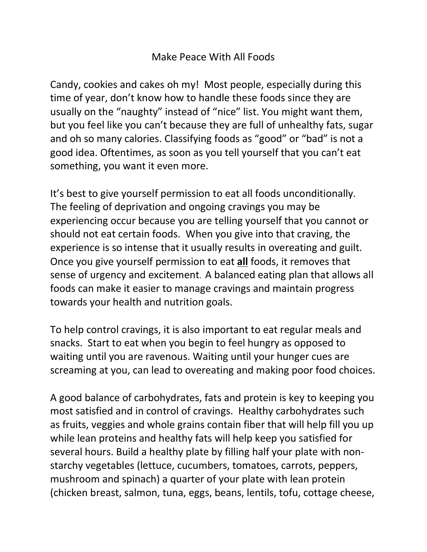## Make Peace With All Foods

Candy, cookies and cakes oh my! Most people, especially during this time of year, don't know how to handle these foods since they are usually on the "naughty" instead of "nice" list. You might want them, but you feel like you can't because they are full of unhealthy fats, sugar and oh so many calories. Classifying foods as "good" or "bad" is not a good idea. Oftentimes, as soon as you tell yourself that you can't eat something, you want it even more.

It's best to give yourself permission to eat all foods unconditionally. The feeling of deprivation and ongoing cravings you may be experiencing occur because you are telling yourself that you cannot or should not eat certain foods. When you give into that craving, the experience is so intense that it usually results in overeating and guilt. Once you give yourself permission to eat **all** foods, it removes that sense of urgency and excitement. A balanced eating plan that allows all foods can make it easier to manage cravings and maintain progress towards your health and nutrition goals.

To help control cravings, it is also important to eat regular meals and snacks. Start to eat when you begin to feel hungry as opposed to waiting until you are ravenous. Waiting until your hunger cues are screaming at you, can lead to overeating and making poor food choices.

A good balance of carbohydrates, fats and protein is key to keeping you most satisfied and in control of cravings. Healthy carbohydrates such as fruits, veggies and whole grains contain fiber that will help fill you up while lean proteins and healthy fats will help keep you satisfied for several hours. Build a healthy plate by filling half your plate with nonstarchy vegetables (lettuce, cucumbers, tomatoes, carrots, peppers, mushroom and spinach) a quarter of your plate with lean protein (chicken breast, salmon, tuna, eggs, beans, lentils, tofu, cottage cheese,